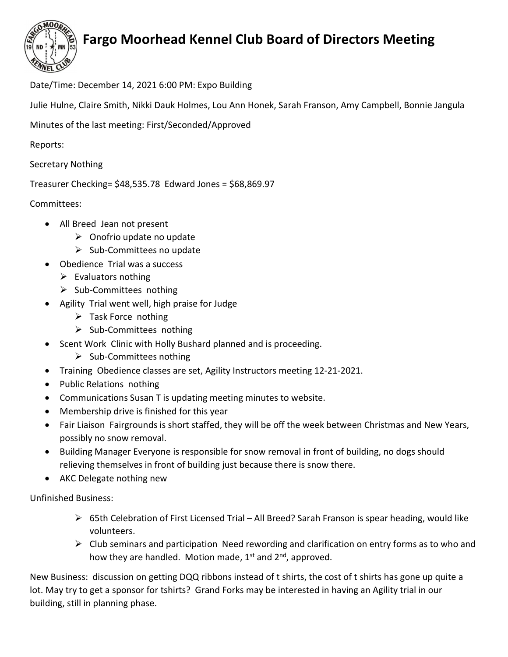

## Fargo Moorhead Kennel Club Board of Directors Meeting

Date/Time: December 14, 2021 6:00 PM: Expo Building

Julie Hulne, Claire Smith, Nikki Dauk Holmes, Lou Ann Honek, Sarah Franson, Amy Campbell, Bonnie Jangula

Minutes of the last meeting: First/Seconded/Approved

Reports:

Secretary Nothing

Treasurer Checking= \$48,535.78 Edward Jones = \$68,869.97

Committees:

- All Breed Jean not present
	- $\triangleright$  Onofrio update no update
	- $\triangleright$  Sub-Committees no update
- Obedience Trial was a success
	- $\triangleright$  Evaluators nothing
	- $\triangleright$  Sub-Committees nothing
- Agility Trial went well, high praise for Judge
	- $\triangleright$  Task Force nothing
	- $\triangleright$  Sub-Committees nothing
- Scent Work Clinic with Holly Bushard planned and is proceeding.
	- $\triangleright$  Sub-Committees nothing
- Training Obedience classes are set, Agility Instructors meeting 12-21-2021.
- Public Relations nothing
- Communications Susan T is updating meeting minutes to website.
- Membership drive is finished for this year
- Fair Liaison Fairgrounds is short staffed, they will be off the week between Christmas and New Years, possibly no snow removal.
- Building Manager Everyone is responsible for snow removal in front of building, no dogs should relieving themselves in front of building just because there is snow there.
- AKC Delegate nothing new

Unfinished Business:

- 65th Celebration of First Licensed Trial All Breed? Sarah Franson is spear heading, would like volunteers.
- $\triangleright$  Club seminars and participation Need rewording and clarification on entry forms as to who and how they are handled. Motion made,  $1<sup>st</sup>$  and  $2<sup>nd</sup>$ , approved.

New Business: discussion on getting DQQ ribbons instead of t shirts, the cost of t shirts has gone up quite a lot. May try to get a sponsor for tshirts? Grand Forks may be interested in having an Agility trial in our building, still in planning phase.